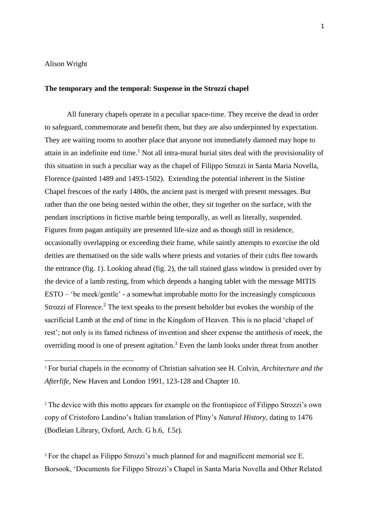## Alison Wright

**.** 

## **The temporary and the temporal: Suspense in the Strozzi chapel**

All funerary chapels operate in a peculiar space-time. They receive the dead in order to safeguard, commemorate and benefit them, but they are also underpinned by expectation. They are waiting rooms to another place that anyone not immediately damned may hope to attain in an indefinite end time.<sup>1</sup> Not all intra-mural burial sites deal with the provisionality of this situation in such a peculiar way as the chapel of Filippo Strozzi in Santa Maria Novella, Florence (painted 1489 and 1493-1502). Extending the potential inherent in the Sistine Chapel frescoes of the early 1480s, the ancient past is merged with present messages. But rather than the one being nested within the other, they sit together on the surface, with the pendant inscriptions in fictive marble being temporally, as well as literally, suspended. Figures from pagan antiquity are presented life-size and as though still in residence, occasionally overlapping or exceeding their frame, while saintly attempts to exorcise the old deities are thematised on the side walls where priests and votaries of their cults flee towards the entrance (fig. 1). Looking ahead (fig. 2), the tall stained glass window is presided over by the device of a lamb resting, from which depends a hanging tablet with the message MITIS ESTO – 'be meek/gentle' - a somewhat improbable motto for the increasingly conspicuous Strozzi of Florence.<sup>2</sup> The text speaks to the present beholder but evokes the worship of the sacrificial Lamb at the end of time in the Kingdom of Heaven. This is no placid 'chapel of rest'; not only is its famed richness of invention and sheer expense the antithesis of meek, the overriding mood is one of present agitation.<sup>3</sup> Even the lamb looks under threat from another

<sup>2</sup> The device with this motto appears for example on the frontispiece of Filippo Strozzi's own copy of Cristoforo Landino's Italian translation of Pliny's *Natural History*, dating to 1476 (Bodleian Library, Oxford, Arch. G b.6, f.5r).

<sup>3</sup> For the chapel as Filippo Strozzi's much planned for and magnificent memorial see E. Borsook, 'Documents for Filippo Strozzi's Chapel in Santa Maria Novella and Other Related

<sup>1</sup> For burial chapels in the economy of Christian salvation see H. Colvin, *Architecture and the Afterlife,* New Haven and London 1991, 123-128 and Chapter 10.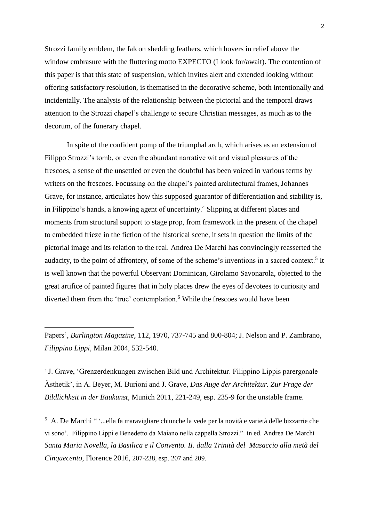Strozzi family emblem, the falcon shedding feathers, which hovers in relief above the window embrasure with the fluttering motto EXPECTO (I look for/await). The contention of this paper is that this state of suspension, which invites alert and extended looking without offering satisfactory resolution, is thematised in the decorative scheme, both intentionally and incidentally. The analysis of the relationship between the pictorial and the temporal draws attention to the Strozzi chapel's challenge to secure Christian messages, as much as to the decorum, of the funerary chapel.

In spite of the confident pomp of the triumphal arch, which arises as an extension of Filippo Strozzi's tomb, or even the abundant narrative wit and visual pleasures of the frescoes, a sense of the unsettled or even the doubtful has been voiced in various terms by writers on the frescoes. Focussing on the chapel's painted architectural frames, Johannes Grave, for instance, articulates how this supposed guarantor of differentiation and stability is, in Filippino's hands, a knowing agent of uncertainty.<sup>4</sup> Slipping at different places and moments from structural support to stage prop, from framework in the present of the chapel to embedded frieze in the fiction of the historical scene, it sets in question the limits of the pictorial image and its relation to the real. Andrea De Marchi has convincingly reasserted the audacity, to the point of affrontery, of some of the scheme's inventions in a sacred context.<sup>5</sup> It is well known that the powerful Observant Dominican, Girolamo Savonarola, objected to the great artifice of painted figures that in holy places drew the eyes of devotees to curiosity and diverted them from the 'true' contemplation.<sup>6</sup> While the frescoes would have been

Papers', *Burlington Magazine,* 112, 1970, 737-745 and 800-804; J. Nelson and P. Zambrano, *Filippino Lippi,* Milan 2004, 532-540.

1

<sup>4</sup> J. Grave, 'Grenzerdenkungen zwischen Bild und Architektur. Filippino Lippis parergonale Ästhetik', in A. Beyer, M. Burioni and J. Grave, *Das Auge der Architektur. Zur Frage der Bildlichkeit in der Baukunst,* Munich 2011, 221-249, esp. 235-9 for the unstable frame.

5 A. De Marchi " '*...*ella fa maravigliare chiunche la vede per la novità e varietà delle bizzarrie che vi sono'. Filippino Lippi e Benedetto da Maiano nella cappella Strozzi." in ed. Andrea De Marchi *Santa Maria Novella, la Basilica e il Convento. II. dalla Trinità del Masaccio alla metà del Cinquecento*, Florence 2016, 207-238, esp. 207 and 209.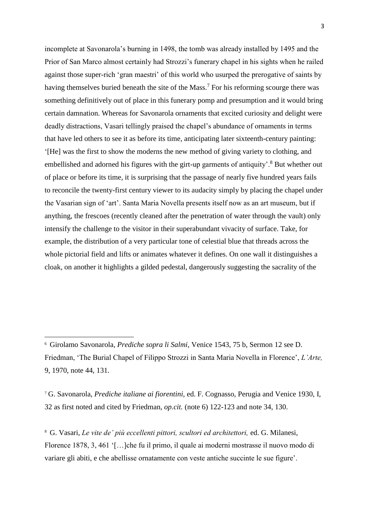incomplete at Savonarola's burning in 1498, the tomb was already installed by 1495 and the Prior of San Marco almost certainly had Strozzi's funerary chapel in his sights when he railed against those super-rich 'gran maestri' of this world who usurped the prerogative of saints by having themselves buried beneath the site of the Mass.<sup>7</sup> For his reforming scourge there was something definitively out of place in this funerary pomp and presumption and it would bring certain damnation. Whereas for Savonarola ornaments that excited curiosity and delight were deadly distractions, Vasari tellingly praised the chapel's abundance of ornaments in terms that have led others to see it as before its time, anticipating later sixteenth-century painting: '[He] was the first to show the moderns the new method of giving variety to clothing, and embellished and adorned his figures with the girt-up garments of antiquity'.<sup>8</sup> But whether out of place or before its time, it is surprising that the passage of nearly five hundred years fails to reconcile the twenty-first century viewer to its audacity simply by placing the chapel under the Vasarian sign of 'art'. Santa Maria Novella presents itself now as an art museum, but if anything, the frescoes (recently cleaned after the penetration of water through the vault) only intensify the challenge to the visitor in their superabundant vivacity of surface. Take, for example, the distribution of a very particular tone of celestial blue that threads across the whole pictorial field and lifts or animates whatever it defines. On one wall it distinguishes a cloak, on another it highlights a gilded pedestal, dangerously suggesting the sacrality of the

**.** 

<sup>6</sup> Girolamo Savonarola, *Prediche sopra li Salmi,* Venice 1543, 75 b, Sermon 12 see D. Friedman, 'The Burial Chapel of Filippo Strozzi in Santa Maria Novella in Florence', *L'Arte,*  9, 1970, note 44, 131.

<sup>7</sup> G. Savonarola, *Prediche italiane ai fiorentini,* ed. F. Cognasso, Perugia and Venice 1930, I, 32 as first noted and cited by Friedman, *op.cit.* (note 6) 122-123 and note 34, 130.

<sup>8</sup> G. Vasari, *Le vite de' più eccellenti pittori, scultori ed architettori,* ed. G. Milanesi, Florence 1878, 3, 461 '[…]che fu il primo, il quale ai moderni mostrasse il nuovo modo di variare gli abiti, e che abellisse ornatamente con veste antiche succinte le sue figure'.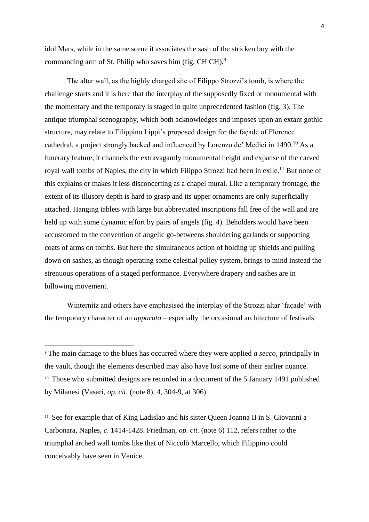idol Mars, while in the same scene it associates the sash of the stricken boy with the commanding arm of St. Philip who saves him (fig. CH CH).<sup>9</sup>

The altar wall, as the highly charged site of Filippo Strozzi's tomb, is where the challenge starts and it is here that the interplay of the supposedly fixed or monumental with the momentary and the temporary is staged in quite unprecedented fashion (fig. 3). The antique triumphal scenography, which both acknowledges and imposes upon an extant gothic structure, may relate to Filippino Lippi's proposed design for the façade of Florence cathedral, a project strongly backed and influenced by Lorenzo de' Medici in 1490.<sup>10</sup> As a funerary feature, it channels the extravagantly monumental height and expanse of the carved royal wall tombs of Naples, the city in which Filippo Strozzi had been in exile.<sup>11</sup> But none of this explains or makes it less disconcerting as a chapel mural. Like a temporary frontage, the extent of its illusory depth is hard to grasp and its upper ornaments are only superficially attached. Hanging tablets with large but abbreviated inscriptions fall free of the wall and are held up with some dynamic effort by pairs of angels (fig. 4). Beholders would have been accustomed to the convention of angelic go-betweens shouldering garlands or supporting coats of arms on tombs. But here the simultaneous action of holding up shields and pulling down on sashes, as though operating some celestial pulley system, brings to mind instead the strenuous operations of a staged performance. Everywhere drapery and sashes are in billowing movement.

Winternitz and others have emphasised the interplay of the Strozzi altar 'façade' with the temporary character of an *apparato* – especially the occasional architecture of festivals

1

<sup>11</sup> See for example that of King Ladislao and his sister Queen Joanna II in S. Giovanni a Carbonara, Naples, *c*. 1414-1428. Friedman, *op. cit.* (note 6) 112, refers rather to the triumphal arched wall tombs like that of Niccolò Marcello, which Filippino could conceivably have seen in Venice.

<sup>9</sup> The main damage to the blues has occurred where they were applied *a secco,* principally in the vault, though the elements described may also have lost some of their earlier nuance. <sup>10</sup> Those who submitted designs are recorded in a document of the 5 January 1491 published by Milanesi (Vasari, *op. cit.* (note 8), 4, 304-9, at 306).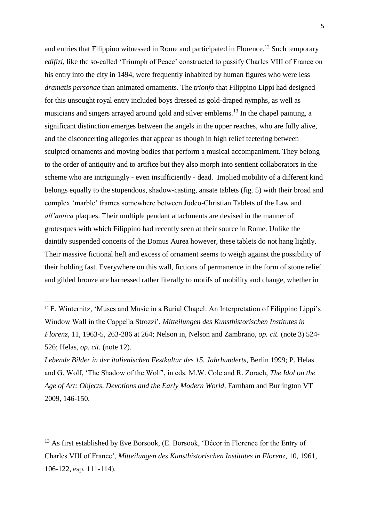and entries that Filippino witnessed in Rome and participated in Florence.<sup>12</sup> Such temporary *edifizi*, like the so-called 'Triumph of Peace' constructed to passify Charles VIII of France on his entry into the city in 1494, were frequently inhabited by human figures who were less *dramatis personae* than animated ornaments*.* The *trionfo* that Filippino Lippi had designed for this unsought royal entry included boys dressed as gold-draped nymphs, as well as musicians and singers arrayed around gold and silver emblems.<sup>13</sup> In the chapel painting, a significant distinction emerges between the angels in the upper reaches, who are fully alive, and the disconcerting allegories that appear as though in high relief teetering between sculpted ornaments and moving bodies that perform a musical accompaniment. They belong to the order of antiquity and to artifice but they also morph into sentient collaborators in the scheme who are intriguingly - even insufficiently - dead. Implied mobility of a different kind belongs equally to the stupendous, shadow-casting, ansate tablets (fig. 5) with their broad and complex 'marble' frames somewhere between Judeo-Christian Tablets of the Law and *all'antica* plaques. Their multiple pendant attachments are devised in the manner of grotesques with which Filippino had recently seen at their source in Rome. Unlike the daintily suspended conceits of the Domus Aurea however, these tablets do not hang lightly. Their massive fictional heft and excess of ornament seems to weigh against the possibility of their holding fast. Everywhere on this wall, fictions of permanence in the form of stone relief and gilded bronze are harnessed rather literally to motifs of mobility and change, whether in

<sup>&</sup>lt;sup>12</sup> E. Winternitz, 'Muses and Music in a Burial Chapel: An Interpretation of Filippino Lippi's Window Wall in the Cappella Strozzi', *Mitteilungen des Kunsthistorischen Institutes in Florenz,* 11, 1963-5, 263-286 at 264; Nelson in, Nelson and Zambrano, *op. cit.* (note 3) 524- 526; Helas, *op. cit.* (note 12).

*Lebende Bilder in der italienischen Festkultur des 15. Jahrhunderts,* Berlin 1999; P. Helas and G. Wolf, 'The Shadow of the Wolf', in eds. M.W. Cole and R. Zorach, *The Idol on the*  Age of Art: Objects, Devotions and the Early Modern World, Farnham and Burlington VT 2009, 146-150.

<sup>&</sup>lt;sup>13</sup> As first established by Eve Borsook, (E. Borsook, 'Décor in Florence for the Entry of Charles VIII of France', *Mitteilungen des Kunsthistorischen Institutes in Florenz,* 10, 1961, 106-122, esp. 111-114).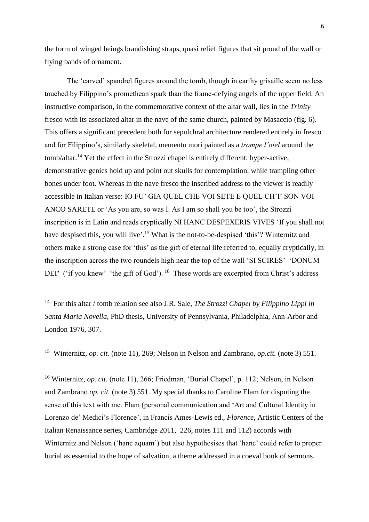the form of winged beings brandishing straps, quasi relief figures that sit proud of the wall or flying bands of ornament.

The 'carved' spandrel figures around the tomb, though in earthy grisaille seem no less touched by Filippino's promethean spark than the frame-defying angels of the upper field. An instructive comparison, in the commemorative context of the altar wall, lies in the *Trinity*  fresco with its associated altar in the nave of the same church, painted by Masaccio (fig. 6). This offers a significant precedent both for sepulchral architecture rendered entirely in fresco and for Filippino's, similarly skeletal, memento mori painted as a *trompe l'oiel* around the tomb/altar.<sup>14</sup> Yet the effect in the Strozzi chapel is entirely different: hyper-active, demonstrative genies hold up and point out skulls for contemplation, while trampling other bones under foot. Whereas in the nave fresco the inscribed address to the viewer is readily accessible in Italian verse: IO FU' GIA QUEL CHE VOI SETE E QUEL CH'I' SON VOI ANCO SARETE or 'As you are, so was I. As I am so shall you be too', the Strozzi inscription is in Latin and reads cryptically NI HANC DESPEXERIS VIVES 'If you shall not have despised this, you will live'.<sup>15</sup> What is the not-to-be-despised 'this'? Winternitz and others make a strong case for 'this' as the gift of eternal life referred to, equally cryptically, in the inscription across the two roundels high near the top of the wall 'SI SCIRES' 'DONUM DEI' ('if you knew' 'the gift of God'). <sup>16</sup> These words are excerpted from Christ's address

**.** 

<sup>15</sup> Winternitz, *op. cit.* (note 11), 269; Nelson in Nelson and Zambrano, *op.cit.* (note 3) 551.

<sup>16</sup> Winternitz, *op. cit.* (note 11), 266; Friedman, 'Burial Chapel', p. 112; Nelson, in Nelson and Zambrano *op. cit.* (note 3) 551. My special thanks to Caroline Elam for disputing the sense of this text with me. Elam (personal communication and 'Art and Cultural Identity in Lorenzo de' Medici's Florence', in Francis Ames-Lewis ed., *Florence*, Artistic Centers of the Italian Renaissance series, Cambridge 2011, 226, notes 111 and 112) accords with Winternitz and Nelson ('hanc aquam') but also hypothesises that 'hanc' could refer to proper burial as essential to the hope of salvation, a theme addressed in a coeval book of sermons.

<sup>14</sup> For this altar / tomb relation see also J.R. Sale, *The Strozzi Chapel by Filippino Lippi in Santa Maria Novella,* PhD thesis, University of Pennsylvania, Philadelphia, Ann-Arbor and London 1976, 307.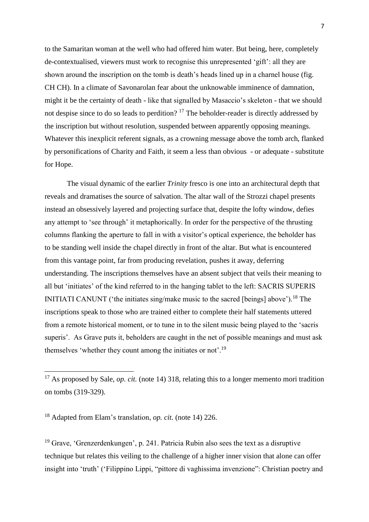to the Samaritan woman at the well who had offered him water. But being, here, completely de-contextualised, viewers must work to recognise this unrepresented 'gift': all they are shown around the inscription on the tomb is death's heads lined up in a charnel house (fig. CH CH). In a climate of Savonarolan fear about the unknowable imminence of damnation, might it be the certainty of death - like that signalled by Masaccio's skeleton - that we should not despise since to do so leads to perdition?<sup>17</sup> The beholder-reader is directly addressed by the inscription but without resolution, suspended between apparently opposing meanings. Whatever this inexplicit referent signals, as a crowning message above the tomb arch, flanked by personifications of Charity and Faith, it seem a less than obvious - or adequate - substitute for Hope.

The visual dynamic of the earlier *Trinity* fresco is one into an architectural depth that reveals and dramatises the source of salvation. The altar wall of the Strozzi chapel presents instead an obsessively layered and projecting surface that, despite the lofty window, defies any attempt to 'see through' it metaphorically. In order for the perspective of the thrusting columns flanking the aperture to fall in with a visitor's optical experience, the beholder has to be standing well inside the chapel directly in front of the altar. But what is encountered from this vantage point, far from producing revelation, pushes it away, deferring understanding. The inscriptions themselves have an absent subject that veils their meaning to all but 'initiates' of the kind referred to in the hanging tablet to the left: SACRIS SUPERIS INITIATI CANUNT ('the initiates sing/make music to the sacred [beings] above').<sup>18</sup> The inscriptions speak to those who are trained either to complete their half statements uttered from a remote historical moment, or to tune in to the silent music being played to the 'sacris superis'. As Grave puts it, beholders are caught in the net of possible meanings and must ask themselves 'whether they count among the initiates or not'.<sup>19</sup>

<sup>18</sup> Adapted from Elam's translation, *op. cit.* (note 14) 226.

**.** 

<sup>19</sup> Grave, 'Grenzerdenkungen', p. 241. Patricia Rubin also sees the text as a disruptive technique but relates this veiling to the challenge of a higher inner vision that alone can offer insight into 'truth' ('Filippino Lippi, "pittore di vaghissima invenzione": Christian poetry and

<sup>&</sup>lt;sup>17</sup> As proposed by Sale, *op. cit.* (note 14) 318, relating this to a longer memento mori tradition on tombs (319-329).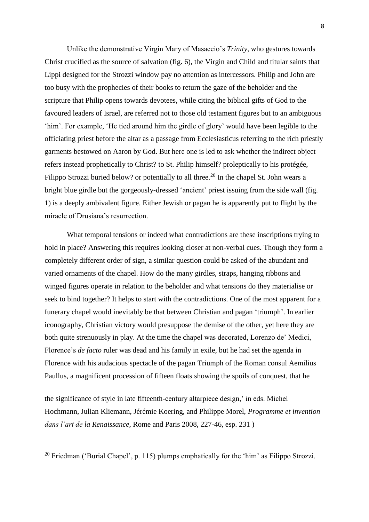Unlike the demonstrative Virgin Mary of Masaccio's *Trinity*, who gestures towards Christ crucified as the source of salvation (fig. 6), the Virgin and Child and titular saints that Lippi designed for the Strozzi window pay no attention as intercessors. Philip and John are too busy with the prophecies of their books to return the gaze of the beholder and the scripture that Philip opens towards devotees, while citing the biblical gifts of God to the favoured leaders of Israel, are referred not to those old testament figures but to an ambiguous 'him'. For example, 'He tied around him the girdle of glory' would have been legible to the officiating priest before the altar as a passage from Ecclesiasticus referring to the rich priestly garments bestowed on Aaron by God. But here one is led to ask whether the indirect object refers instead prophetically to Christ? to St. Philip himself? proleptically to his protégée, Filippo Strozzi buried below? or potentially to all three.<sup>20</sup> In the chapel St. John wears a bright blue girdle but the gorgeously-dressed 'ancient' priest issuing from the side wall (fig. 1) is a deeply ambivalent figure. Either Jewish or pagan he is apparently put to flight by the miracle of Drusiana's resurrection.

What temporal tensions or indeed what contradictions are these inscriptions trying to hold in place? Answering this requires looking closer at non-verbal cues. Though they form a completely different order of sign, a similar question could be asked of the abundant and varied ornaments of the chapel. How do the many girdles, straps, hanging ribbons and winged figures operate in relation to the beholder and what tensions do they materialise or seek to bind together? It helps to start with the contradictions. One of the most apparent for a funerary chapel would inevitably be that between Christian and pagan 'triumph'. In earlier iconography, Christian victory would presuppose the demise of the other, yet here they are both quite strenuously in play. At the time the chapel was decorated, Lorenzo de' Medici, Florence's *de facto* ruler was dead and his family in exile, but he had set the agenda in Florence with his audacious spectacle of the pagan Triumph of the Roman consul Aemilius Paullus, a magnificent procession of fifteen floats showing the spoils of conquest, that he

**.** 

the significance of style in late fifteenth-century altarpiece design,' in eds. Michel Hochmann, Julian Kliemann, Jérémie Koering, and Philippe Morel, *Programme et invention dans l'art de la Renaissance*, Rome and Paris 2008, 227-46, esp. 231 )

<sup>&</sup>lt;sup>20</sup> Friedman ('Burial Chapel', p. 115) plumps emphatically for the 'him' as Filippo Strozzi.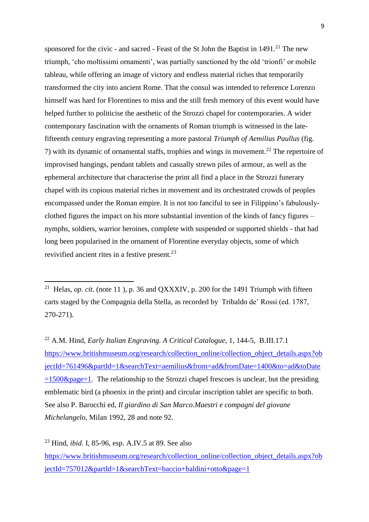sponsored for the civic - and sacred - Feast of the St John the Baptist in  $1491<sup>21</sup>$ . The new triumph, 'cho moltissimi ornamenti', was partially sanctioned by the old 'trionfi' or mobile tableau, while offering an image of victory and endless material riches that temporarily transformed the city into ancient Rome. That the consul was intended to reference Lorenzo himself was hard for Florentines to miss and the still fresh memory of this event would have helped further to politicise the aesthetic of the Strozzi chapel for contemporaries. A wider contemporary fascination with the ornaments of Roman triumph is witnessed in the latefifteenth century engraving representing a more pastoral *Triumph of Aemilius Paullus* (fig. 7) with its dynamic of ornamental staffs, trophies and wings in movement.<sup>22</sup> The repertoire of improvised hangings, pendant tablets and casually strewn piles of armour, as well as the ephemeral architecture that characterise the print all find a place in the Strozzi funerary chapel with its copious material riches in movement and its orchestrated crowds of peoples encompassed under the Roman empire. It is not too fanciful to see in Filippino's fabulouslyclothed figures the impact on his more substantial invention of the kinds of fancy figures – nymphs, soldiers, warrior heroines, complete with suspended or supported shields - that had long been popularised in the ornament of Florentine everyday objects, some of which revivified ancient rites in a festive present.<sup>23</sup>

<sup>22</sup> A.M. Hind, *Early Italian Engraving. A Critical Catalogue,* 1, 144-5, B.III.17.1 [https://www.britishmuseum.org/research/collection\\_online/collection\\_object\\_details.aspx?ob](https://www.britishmuseum.org/research/collection_online/collection_object_details.aspx?objectId=761496&partId=1&searchText=aemilius&from=ad&fromDate=1400&to=ad&toDate=1500&page=1) [jectId=761496&partId=1&searchText=aemilius&from=ad&fromDate=1400&to=ad&toDate](https://www.britishmuseum.org/research/collection_online/collection_object_details.aspx?objectId=761496&partId=1&searchText=aemilius&from=ad&fromDate=1400&to=ad&toDate=1500&page=1)  $=1500\&page=1$ . The relationship to the Strozzi chapel frescoes is unclear, but the presiding emblematic bird (a phoenix in the print) and circular inscription tablet are specific to both. See also P. Barocchi ed, *Il giardino di San Marco.Maestri e compagni del giovane Michelangelo,* Milan 1992, 28 and note 92.

<sup>23</sup> Hind, *ibid.* I, 85-96, esp. A.IV.5 at 89. See also

1

[https://www.britishmuseum.org/research/collection\\_online/collection\\_object\\_details.aspx?ob](https://www.britishmuseum.org/research/collection_online/collection_object_details.aspx?objectId=757012&partId=1&searchText=baccio+baldini+otto&page=1) [jectId=757012&partId=1&searchText=baccio+baldini+otto&page=1](https://www.britishmuseum.org/research/collection_online/collection_object_details.aspx?objectId=757012&partId=1&searchText=baccio+baldini+otto&page=1)

<sup>&</sup>lt;sup>21</sup> Helas, *op. cit.* (note 11), p. 36 and QXXXIV, p. 200 for the 1491 Triumph with fifteen carts staged by the Compagnia della Stella, as recorded by Tribaldo de' Rossi (ed. 1787, 270-271).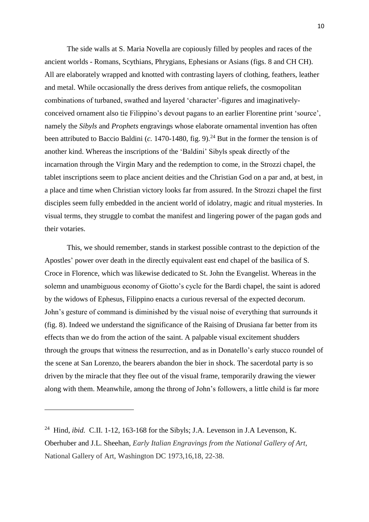The side walls at S. Maria Novella are copiously filled by peoples and races of the ancient worlds - Romans, Scythians, Phrygians, Ephesians or Asians (figs. 8 and CH CH). All are elaborately wrapped and knotted with contrasting layers of clothing, feathers, leather and metal. While occasionally the dress derives from antique reliefs, the cosmopolitan combinations of turbaned, swathed and layered 'character'-figures and imaginativelyconceived ornament also tie Filippino's devout pagans to an earlier Florentine print 'source', namely the *Sibyls* and *Prophets* engravings whose elaborate ornamental invention has often been attributed to Baccio Baldini (*c.* 1470-1480, fig. 9). <sup>24</sup> But in the former the tension is of another kind. Whereas the inscriptions of the 'Baldini' Sibyls speak directly of the incarnation through the Virgin Mary and the redemption to come, in the Strozzi chapel, the tablet inscriptions seem to place ancient deities and the Christian God on a par and, at best, in a place and time when Christian victory looks far from assured. In the Strozzi chapel the first disciples seem fully embedded in the ancient world of idolatry, magic and ritual mysteries. In visual terms, they struggle to combat the manifest and lingering power of the pagan gods and their votaries.

This, we should remember, stands in starkest possible contrast to the depiction of the Apostles' power over death in the directly equivalent east end chapel of the basilica of S. Croce in Florence, which was likewise dedicated to St. John the Evangelist. Whereas in the solemn and unambiguous economy of Giotto's cycle for the Bardi chapel, the saint is adored by the widows of Ephesus, Filippino enacts a curious reversal of the expected decorum. John's gesture of command is diminished by the visual noise of everything that surrounds it (fig. 8). Indeed we understand the significance of the Raising of Drusiana far better from its effects than we do from the action of the saint. A palpable visual excitement shudders through the groups that witness the resurrection, and as in Donatello's early stucco roundel of the scene at San Lorenzo, the bearers abandon the bier in shock. The sacerdotal party is so driven by the miracle that they flee out of the visual frame, temporarily drawing the viewer along with them. Meanwhile, among the throng of John's followers, a little child is far more

 $\overline{a}$ 

<sup>&</sup>lt;sup>24</sup> Hind, *ibid.* C.II. 1-12, 163-168 for the Sibyls; J.A. Levenson in J.A Levenson, K. Oberhuber and J.L. Sheehan, *Early Italian Engravings from the National Gallery of Art*, National Gallery of Art, Washington DC 1973,16,18, 22-38.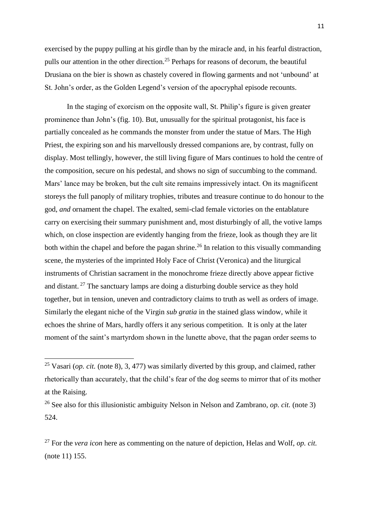exercised by the puppy pulling at his girdle than by the miracle and, in his fearful distraction, pulls our attention in the other direction.<sup>25</sup> Perhaps for reasons of decorum, the beautiful Drusiana on the bier is shown as chastely covered in flowing garments and not 'unbound' at St. John's order, as the Golden Legend's version of the apocryphal episode recounts.

In the staging of exorcism on the opposite wall, St. Philip's figure is given greater prominence than John's (fig. 10). But, unusually for the spiritual protagonist, his face is partially concealed as he commands the monster from under the statue of Mars. The High Priest, the expiring son and his marvellously dressed companions are, by contrast, fully on display. Most tellingly, however, the still living figure of Mars continues to hold the centre of the composition, secure on his pedestal, and shows no sign of succumbing to the command. Mars' lance may be broken, but the cult site remains impressively intact. On its magnificent storeys the full panoply of military trophies, tributes and treasure continue to do honour to the god, *and* ornament the chapel. The exalted, semi-clad female victories on the entablature carry on exercising their summary punishment and, most disturbingly of all, the votive lamps which, on close inspection are evidently hanging from the frieze, look as though they are lit both within the chapel and before the pagan shrine.<sup>26</sup> In relation to this visually commanding scene, the mysteries of the imprinted Holy Face of Christ (Veronica) and the liturgical instruments of Christian sacrament in the monochrome frieze directly above appear fictive and distant.  $27$  The sanctuary lamps are doing a disturbing double service as they hold together, but in tension, uneven and contradictory claims to truth as well as orders of image. Similarly the elegant niche of the Virgin *sub gratia* in the stained glass window, while it echoes the shrine of Mars, hardly offers it any serious competition. It is only at the later moment of the saint's martyrdom shown in the lunette above, that the pagan order seems to

 $\overline{a}$ 

<sup>27</sup> For the *vera icon* here as commenting on the nature of depiction, Helas and Wolf, *op. cit.*  (note 11) 155.

<sup>&</sup>lt;sup>25</sup> Vasari (*op. cit.* (note 8), 3, 477) was similarly diverted by this group, and claimed, rather rhetorically than accurately, that the child's fear of the dog seems to mirror that of its mother at the Raising.

<sup>26</sup> See also for this illusionistic ambiguity Nelson in Nelson and Zambrano, *op. cit.* (note 3) 524.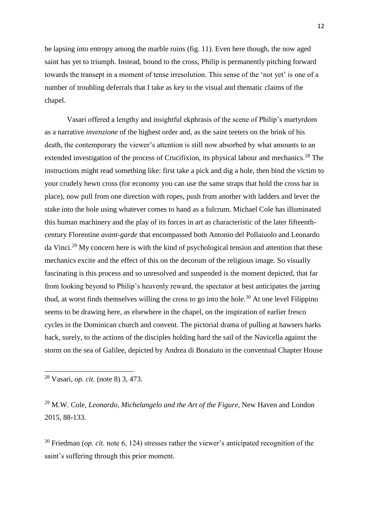be lapsing into entropy among the marble ruins (fig. 11). Even here though, the now aged saint has yet to triumph. Instead, bound to the cross, Philip is permanently pitching forward towards the transept in a moment of tense irresolution. This sense of the 'not yet' is one of a number of troubling deferrals that I take as key to the visual and thematic claims of the chapel.

Vasari offered a lengthy and insightful ekphrasis of the scene of Philip's martyrdom as a narrative *invenzione* of the highest order and, as the saint teeters on the brink of his death, the contemporary the viewer's attention is still now absorbed by what amounts to an extended investigation of the process of Crucifixion, its physical labour and mechanics.<sup>28</sup> The instructions might read something like: first take a pick and dig a hole, then bind the victim to your crudely hewn cross (for economy you can use the same straps that hold the cross bar in place), now pull from one direction with ropes, push from another with ladders and lever the stake into the hole using whatever comes to hand as a fulcrum. Michael Cole has illuminated this human machinery and the play of its forces in art as characteristic of the later fifteenthcentury Florentine *avant-garde* that encompassed both Antonio del Pollaiuolo and Leonardo da Vinci.<sup>29</sup> My concern here is with the kind of psychological tension and attention that these mechanics excite and the effect of this on the decorum of the religious image. So visually fascinating is this process and so unresolved and suspended is the moment depicted, that far from looking beyond to Philip's heavenly reward, the spectator at best anticipates the jarring thud, at worst finds themselves willing the cross to go into the hole.<sup>30</sup> At one level Filippino seems to be drawing here, as elsewhere in the chapel, on the inspiration of earlier fresco cycles in the Dominican church and convent. The pictorial drama of pulling at hawsers harks back, surely, to the actions of the disciples holding hard the sail of the Navicella against the storm on the sea of Galilee, depicted by Andrea di Bonaiuto in the conventual Chapter House

**.** 

<sup>29</sup> M.W. Cole, *Leonardo, Michelangelo and the Art of the Figure,* New Haven and London 2015, 88-133.

<sup>30</sup> Friedman (*op. cit.* note 6, 124) stresses rather the viewer's anticipated recognition of the saint's suffering through this prior moment.

<sup>28</sup> Vasari, *op. cit.* (note 8) 3, 473.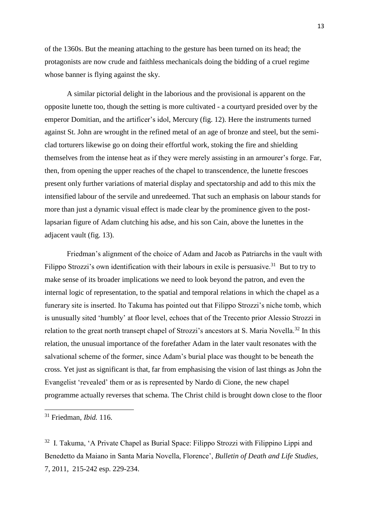of the 1360s. But the meaning attaching to the gesture has been turned on its head; the protagonists are now crude and faithless mechanicals doing the bidding of a cruel regime whose banner is flying against the sky.

A similar pictorial delight in the laborious and the provisional is apparent on the opposite lunette too, though the setting is more cultivated - a courtyard presided over by the emperor Domitian, and the artificer's idol, Mercury (fig. 12). Here the instruments turned against St. John are wrought in the refined metal of an age of bronze and steel, but the semiclad torturers likewise go on doing their effortful work, stoking the fire and shielding themselves from the intense heat as if they were merely assisting in an armourer's forge. Far, then, from opening the upper reaches of the chapel to transcendence, the lunette frescoes present only further variations of material display and spectatorship and add to this mix the intensified labour of the servile and unredeemed. That such an emphasis on labour stands for more than just a dynamic visual effect is made clear by the prominence given to the postlapsarian figure of Adam clutching his adse, and his son Cain, above the lunettes in the adjacent vault (fig. 13).

Friedman's alignment of the choice of Adam and Jacob as Patriarchs in the vault with Filippo Strozzi's own identification with their labours in exile is persuasive.<sup>31</sup> But to try to make sense of its broader implications we need to look beyond the patron, and even the internal logic of representation, to the spatial and temporal relations in which the chapel as a funerary site is inserted. Ito Takuma has pointed out that Filippo Strozzi's niche tomb, which is unusually sited 'humbly' at floor level, echoes that of the Trecento prior Alessio Strozzi in relation to the great north transept chapel of Strozzi's ancestors at S. Maria Novella.<sup>32</sup> In this relation, the unusual importance of the forefather Adam in the later vault resonates with the salvational scheme of the former, since Adam's burial place was thought to be beneath the cross. Yet just as significant is that, far from emphasising the vision of last things as John the Evangelist 'revealed' them or as is represented by Nardo di Cione, the new chapel programme actually reverses that schema. The Christ child is brought down close to the floor

 $\overline{a}$ 

<sup>31</sup> Friedman, *Ibid.* 116.

<sup>&</sup>lt;sup>32</sup> I. Takuma, 'A Private Chapel as Burial Space: Filippo Strozzi with Filippino Lippi and Benedetto da Maiano in Santa Maria Novella, Florence', *Bulletin of Death and Life Studies*, 7, 2011, 215-242 esp. 229-234.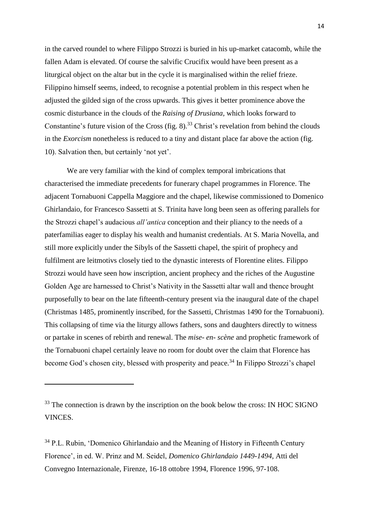in the carved roundel to where Filippo Strozzi is buried in his up-market catacomb, while the fallen Adam is elevated. Of course the salvific Crucifix would have been present as a liturgical object on the altar but in the cycle it is marginalised within the relief frieze. Filippino himself seems, indeed, to recognise a potential problem in this respect when he adjusted the gilded sign of the cross upwards. This gives it better prominence above the cosmic disturbance in the clouds of the *Raising of Drusiana,* which looks forward to Constantine's future vision of the Cross (fig. 8).<sup>33</sup> Christ's revelation from behind the clouds in the *Exorcism* nonetheless is reduced to a tiny and distant place far above the action (fig. 10). Salvation then, but certainly 'not yet'.

We are very familiar with the kind of complex temporal imbrications that characterised the immediate precedents for funerary chapel programmes in Florence. The adjacent Tornabuoni Cappella Maggiore and the chapel, likewise commissioned to Domenico Ghirlandaio, for Francesco Sassetti at S. Trinita have long been seen as offering parallels for the Strozzi chapel's audacious *all'antica* conception and their pliancy to the needs of a paterfamilias eager to display his wealth and humanist credentials. At S. Maria Novella, and still more explicitly under the Sibyls of the Sassetti chapel, the spirit of prophecy and fulfilment are leitmotivs closely tied to the dynastic interests of Florentine elites. Filippo Strozzi would have seen how inscription, ancient prophecy and the riches of the Augustine Golden Age are harnessed to Christ's Nativity in the Sassetti altar wall and thence brought purposefully to bear on the late fifteenth-century present via the inaugural date of the chapel (Christmas 1485, prominently inscribed, for the Sassetti, Christmas 1490 for the Tornabuoni). This collapsing of time via the liturgy allows fathers, sons and daughters directly to witness or partake in scenes of rebirth and renewal. The *mise- en- scène* and prophetic framework of the Tornabuoni chapel certainly leave no room for doubt over the claim that Florence has become God's chosen city, blessed with prosperity and peace.<sup>34</sup> In Filippo Strozzi's chapel

**.** 

<sup>&</sup>lt;sup>33</sup> The connection is drawn by the inscription on the book below the cross: IN HOC SIGNO VINCES.

 $34$  P.L. Rubin, 'Domenico Ghirlandaio and the Meaning of History in Fifteenth Century Florence', in ed. W. Prinz and M. Seidel, *Domenico Ghirlandaio 1449-1494,* Atti del Convegno Internazionale, Firenze, 16-18 ottobre 1994, Florence 1996, 97-108.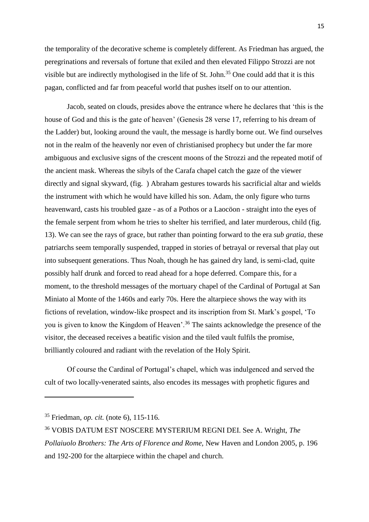the temporality of the decorative scheme is completely different. As Friedman has argued, the peregrinations and reversals of fortune that exiled and then elevated Filippo Strozzi are not visible but are indirectly mythologised in the life of St. John.<sup>35</sup> One could add that it is this pagan, conflicted and far from peaceful world that pushes itself on to our attention.

Jacob, seated on clouds, presides above the entrance where he declares that 'this is the house of God and this is the gate of heaven' (Genesis 28 verse 17, referring to his dream of the Ladder) but, looking around the vault, the message is hardly borne out. We find ourselves not in the realm of the heavenly nor even of christianised prophecy but under the far more ambiguous and exclusive signs of the crescent moons of the Strozzi and the repeated motif of the ancient mask. Whereas the sibyls of the Carafa chapel catch the gaze of the viewer directly and signal skyward, (fig. ) Abraham gestures towards his sacrificial altar and wields the instrument with which he would have killed his son. Adam, the only figure who turns heavenward, casts his troubled gaze - as of a Pothos or a Laocöon - straight into the eyes of the female serpent from whom he tries to shelter his terrified, and later murderous, child (fig. 13). We can see the rays of grace, but rather than pointing forward to the era *sub gratia*, these patriarchs seem temporally suspended, trapped in stories of betrayal or reversal that play out into subsequent generations. Thus Noah, though he has gained dry land, is semi-clad, quite possibly half drunk and forced to read ahead for a hope deferred. Compare this, for a moment, to the threshold messages of the mortuary chapel of the Cardinal of Portugal at San Miniato al Monte of the 1460s and early 70s. Here the altarpiece shows the way with its fictions of revelation, window-like prospect and its inscription from St. Mark's gospel, 'To you is given to know the Kingdom of Heaven'.<sup>36</sup> The saints acknowledge the presence of the visitor, the deceased receives a beatific vision and the tiled vault fulfils the promise, brilliantly coloured and radiant with the revelation of the Holy Spirit.

Of course the Cardinal of Portugal's chapel, which was indulgenced and served the cult of two locally-venerated saints, also encodes its messages with prophetic figures and

<sup>35</sup> Friedman, *op. cit.* (note 6), 115-116.

<sup>36</sup> VOBIS DATUM EST NOSCERE MYSTERIUM REGNI DEI. See A. Wright, *The Pollaiuolo Brothers: The Arts of Florence and Rome,* New Haven and London 2005, p. 196 and 192-200 for the altarpiece within the chapel and church.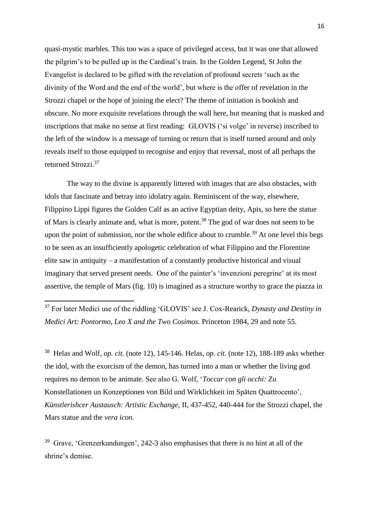quasi-mystic marbles. This too was a space of privileged access, but it was one that allowed the pilgrim's to be pulled up in the Cardinal's train. In the Golden Legend, St John the Evangelist is declared to be gifted with the revelation of profound secrets 'such as the divinity of the Word and the end of the world', but where is the offer of revelation in the Strozzi chapel or the hope of joining the elect? The theme of initiation is bookish and obscure. No more exquisite revelations through the wall here, but meaning that is masked and inscriptions that make no sense at first reading: GLOVIS ('si volge' in reverse) inscribed to the left of the window is a message of turning or return that is itself turned around and only reveals itself to those equipped to recognise and enjoy that reversal, most of all perhaps the returned Strozzi. 37

The way to the divine is apparently littered with images that are also obstacles, with idols that fascinate and betray into idolatry again. Reminiscent of the way, elsewhere, Filippino Lippi figures the Golden Calf as an active Egyptian deity, Apis, so here the statue of Mars is clearly animate and, what is more, potent.<sup>38</sup> The god of war does not seem to be upon the point of submission, nor the whole edifice about to crumble.<sup>39</sup> At one level this begs to be seen as an insufficiently apologetic celebration of what Filippino and the Florentine elite saw in antiquity – a manifestation of a constantly productive historical and visual imaginary that served present needs. One of the painter's 'invenzioni peregrine' at its most assertive, the temple of Mars (fig. 10) is imagined as a structure worthy to grace the piazza in

<sup>37</sup> For later Medici use of the riddling 'GLOVIS' see J. Cox-Rearick, *Dynasty and Destiny in Medici Art: Pontormo, Leo X and the Two Cosimos.* Princeton 1984, 29 and note 55.

**.** 

38 Helas and Wolf, *op. cit.* (note 12), 145-146. Helas, *op. cit.* (note 12), 188-189 asks whether the idol, with the exorcism of the demon, has turned into a man or whether the living god requires no demon to be animate. See also G. Wolf, '*Toccar con gli occhi:* Zu Konstellationen un Konzeptionen von Bild und Wirklichkeit im Späten Quattrocento', *Künstlerishcer Austausch: Artistic Exchange,* II, 437-452, 440-444 for the Strozzi chapel, the Mars statue and the *vera icon.*

 $39$  Grave, 'Grenzerkundungen', 242-3 also emphasises that there is no hint at all of the shrine's demise.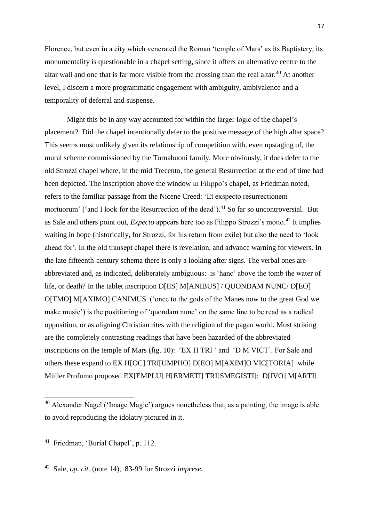Florence, but even in a city which venerated the Roman 'temple of Mars' as its Baptistery, its monumentality is questionable in a chapel setting, since it offers an alternative centre to the altar wall and one that is far more visible from the crossing than the real altar.<sup>40</sup> At another level, I discern a more programmatic engagement with ambiguity, ambivalence and a temporality of deferral and suspense.

Might this be in any way accounted for within the larger logic of the chapel's placement? Did the chapel intentionally defer to the positive message of the high altar space? This seems most unlikely given its relationship of competition with, even upstaging of, the mural scheme commissioned by the Tornabuoni family. More obviously, it does defer to the old Strozzi chapel where, in the mid Trecento, the general Resurrection at the end of time had been depicted. The inscription above the window in Filippo's chapel, as Friedman noted, refers to the familiar passage from the Nicene Creed: 'Et exspecto resurrectionem mortuorum' ('and I look for the Resurrection of the dead').<sup>41</sup> So far so uncontroversial. But as Sale and others point out, *Expecto* appears here too as Filippo Strozzi's motto.<sup>42</sup> It implies waiting in hope (historically, for Strozzi, for his return from exile) but also the need to 'look ahead for'. In the old transept chapel there *is* revelation, and advance warning for viewers. In the late-fifteenth-century schema there is only a looking after signs. The verbal ones are abbreviated and, as indicated, deliberately ambiguous: is 'hanc' above the tomb the water of life, or death? In the tablet inscription D[IIS] M[ANIBUS] / QUONDAM NUNC/ D[EO] O[TMO] M[AXIMO] CANIMUS ('once to the gods of the Manes now to the great God we make music') is the positioning of 'quondam nunc' on the same line to be read as a radical opposition, or as aligning Christian rites with the religion of the pagan world. Most striking are the completely contrasting readings that have been hazarded of the abbreviated inscriptions on the temple of Mars (fig. 10): 'EX H TRI ' and 'D M VICT'. For Sale and others these expand to EX H[OC] TRI[UMPHO] D[EO] M[AXIM]O VIC[TORIA] while Müller Profumo proposed EX[EMPLU] H[ERMETI] TRI[SMEGISTI]; D[IVO] M[ARTI]

 $40$  Alexander Nagel ('Image Magic') argues nonetheless that, as a painting, the image is able to avoid reproducing the idolatry pictured in it.

<sup>41</sup> Friedman, 'Burial Chapel', p. 112.

<sup>42</sup> Sale, *op. cit.* (note 14), 83-99 for Strozzi *imprese.*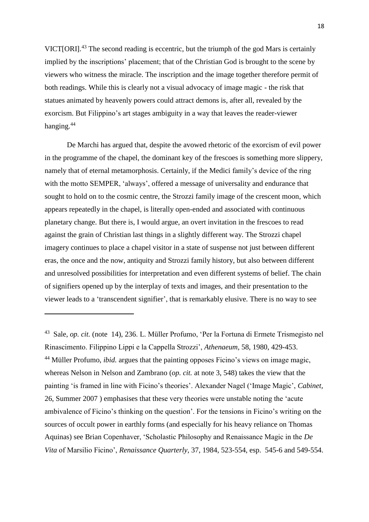VICT[ORI].<sup>43</sup> The second reading is eccentric, but the triumph of the god Mars is certainly implied by the inscriptions' placement; that of the Christian God is brought to the scene by viewers who witness the miracle. The inscription and the image together therefore permit of both readings. While this is clearly not a visual advocacy of image magic - the risk that statues animated by heavenly powers could attract demons is, after all, revealed by the exorcism. But Filippino's art stages ambiguity in a way that leaves the reader-viewer hanging.<sup>44</sup>

De Marchi has argued that, despite the avowed rhetoric of the exorcism of evil power in the programme of the chapel, the dominant key of the frescoes is something more slippery, namely that of eternal metamorphosis. Certainly, if the Medici family's device of the ring with the motto SEMPER, 'always', offered a message of universality and endurance that sought to hold on to the cosmic centre, the Strozzi family image of the crescent moon, which appears repeatedly in the chapel, is literally open-ended and associated with continuous planetary change. But there is, I would argue, an overt invitation in the frescoes to read against the grain of Christian last things in a slightly different way. The Strozzi chapel imagery continues to place a chapel visitor in a state of suspense not just between different eras, the once and the now, antiquity and Strozzi family history, but also between different and unresolved possibilities for interpretation and even different systems of belief. The chain of signifiers opened up by the interplay of texts and images, and their presentation to the viewer leads to a 'transcendent signifier', that is remarkably elusive. There is no way to see

<sup>43</sup> Sale, *op. cit.* (note 14), 236. L. Müller Profumo, 'Per la Fortuna di Ermete Trismegisto nel Rinascimento. Filippino Lippi e la Cappella Strozzi', *Athenaeum,* 58, 1980, 429-453. <sup>44</sup> Müller Profumo, *ibid.* argues that the painting opposes Ficino's views on image magic, whereas Nelson in Nelson and Zambrano (*op. cit.* at note 3, 548) takes the view that the painting 'is framed in line with Ficino's theories'. Alexander Nagel ('Image Magic', *Cabinet,*  26, Summer 2007 ) emphasises that these very theories were unstable noting the 'acute ambivalence of Ficino's thinking on the question'. For the tensions in Ficino's writing on the sources of occult power in earthly forms (and especially for his heavy reliance on Thomas Aquinas) see Brian Copenhaver, 'Scholastic Philosophy and Renaissance Magic in the *De Vita* of Marsilio Ficino', *Renaissance Quarterly,* 37, 1984, 523-554, esp. 545-6 and 549-554.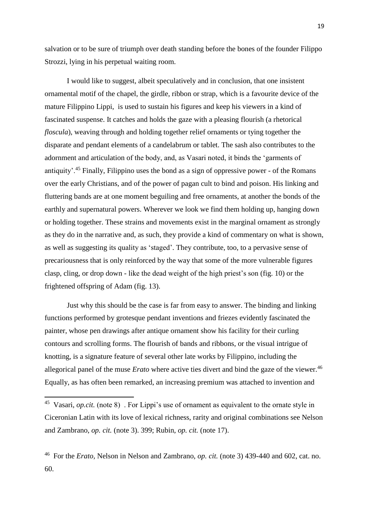salvation or to be sure of triumph over death standing before the bones of the founder Filippo Strozzi, lying in his perpetual waiting room.

I would like to suggest, albeit speculatively and in conclusion, that one insistent ornamental motif of the chapel, the girdle, ribbon or strap, which is a favourite device of the mature Filippino Lippi, is used to sustain his figures and keep his viewers in a kind of fascinated suspense. It catches and holds the gaze with a pleasing flourish (a rhetorical *floscula*), weaving through and holding together relief ornaments or tying together the disparate and pendant elements of a candelabrum or tablet. The sash also contributes to the adornment and articulation of the body, and, as Vasari noted, it binds the 'garments of antiquity'.<sup>45</sup> Finally, Filippino uses the bond as a sign of oppressive power - of the Romans over the early Christians, and of the power of pagan cult to bind and poison. His linking and fluttering bands are at one moment beguiling and free ornaments, at another the bonds of the earthly and supernatural powers. Wherever we look we find them holding up, hanging down or holding together. These strains and movements exist in the marginal ornament as strongly as they do in the narrative and, as such, they provide a kind of commentary on what is shown, as well as suggesting its quality as 'staged'. They contribute, too, to a pervasive sense of precariousness that is only reinforced by the way that some of the more vulnerable figures clasp, cling, or drop down - like the dead weight of the high priest's son (fig. 10) or the frightened offspring of Adam (fig. 13).

Just why this should be the case is far from easy to answer. The binding and linking functions performed by grotesque pendant inventions and friezes evidently fascinated the painter, whose pen drawings after antique ornament show his facility for their curling contours and scrolling forms. The flourish of bands and ribbons, or the visual intrigue of knotting, is a signature feature of several other late works by Filippino, including the allegorical panel of the muse *Erato* where active ties divert and bind the gaze of the viewer.<sup>46</sup> Equally, as has often been remarked, an increasing premium was attached to invention and

<sup>&</sup>lt;sup>45</sup> Vasari, *op.cit.* (note 8) For Lippi's use of ornament as equivalent to the ornate style in Ciceronian Latin with its love of lexical richness, rarity and original combinations see Nelson and Zambrano, *op. cit.* (note 3). 399; Rubin, *op. cit.* (note 17).

<sup>46</sup> For the *Erato,* Nelson in Nelson and Zambrano, *op. cit.* (note 3) 439-440 and 602, cat. no. 60.